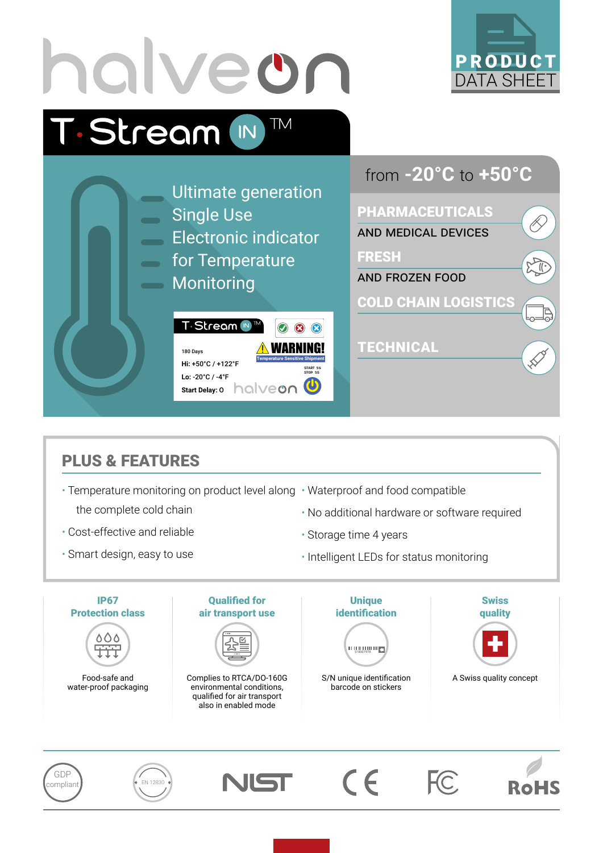

## PLUS & FEATURES

- Temperature monitoring on product level along Waterproof and food compatible the complete cold chain
- Cost-effective and reliable
- Smart design, easy to use
- - No additional hardware or software required
	- Storage time 4 years
	- Intelligent LEDs for status monitoring